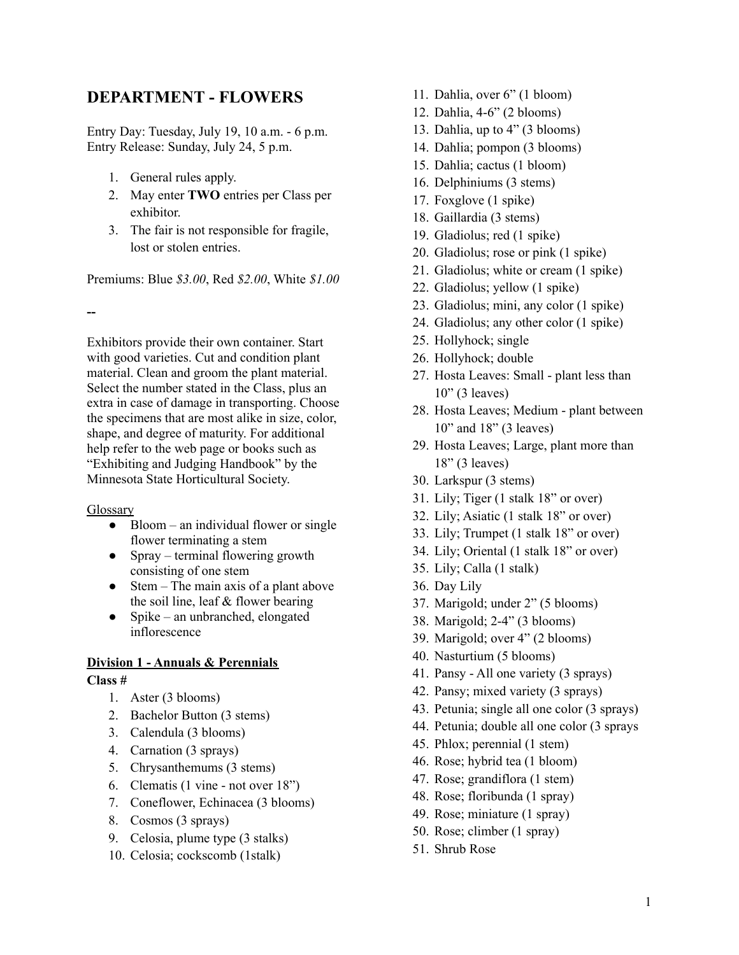# **DEPARTMENT - FLOWERS**

Entry Day: Tuesday, July 19, 10 a.m. - 6 p.m. Entry Release: Sunday, July 24, 5 p.m.

- 1. General rules apply.
- 2. May enter **TWO** entries per Class per exhibitor.
- 3. The fair is not responsible for fragile, lost or stolen entries.

Premiums: Blue *\$3.00*, Red *\$2.00*, White *\$1.00*

**--**

Exhibitors provide their own container. Start with good varieties. Cut and condition plant material. Clean and groom the plant material. Select the number stated in the Class, plus an extra in case of damage in transporting. Choose the specimens that are most alike in size, color, shape, and degree of maturity. For additional help refer to the web page or books such as "Exhibiting and Judging Handbook" by the Minnesota State Horticultural Society.

## **Glossary**

- Bloom an individual flower or single flower terminating a stem
- Spray terminal flowering growth consisting of one stem
- $\bullet$  Stem The main axis of a plant above the soil line, leaf & flower bearing
- Spike an unbranched, elongated inflorescence

## **Division 1 - Annuals & Perennials**

## **Class #**

- 1. Aster (3 blooms)
- 2. Bachelor Button (3 stems)
- 3. Calendula (3 blooms)
- 4. Carnation (3 sprays)
- 5. Chrysanthemums (3 stems)
- 6. Clematis (1 vine not over 18")
- 7. Coneflower, Echinacea (3 blooms)
- 8. Cosmos (3 sprays)
- 9. Celosia, plume type (3 stalks)
- 10. Celosia; cockscomb (1stalk)
- 11. Dahlia, over 6" (1 bloom)
- 12. Dahlia, 4-6" (2 blooms)
- 13. Dahlia, up to 4" (3 blooms)
- 14. Dahlia; pompon (3 blooms)
- 15. Dahlia; cactus (1 bloom)
- 16. Delphiniums (3 stems)
- 17. Foxglove (1 spike)
- 18. Gaillardia (3 stems)
- 19. Gladiolus; red (1 spike)
- 20. Gladiolus; rose or pink (1 spike)
- 21. Gladiolus; white or cream (1 spike)
- 22. Gladiolus; yellow (1 spike)
- 23. Gladiolus; mini, any color (1 spike)
- 24. Gladiolus; any other color (1 spike)
- 25. Hollyhock; single
- 26. Hollyhock; double
- 27. Hosta Leaves: Small plant less than 10" (3 leaves)
- 28. Hosta Leaves; Medium plant between 10" and 18" (3 leaves)
- 29. Hosta Leaves; Large, plant more than 18" (3 leaves)
- 30. Larkspur (3 stems)
- 31. Lily; Tiger (1 stalk 18" or over)
- 32. Lily; Asiatic (1 stalk 18" or over)
- 33. Lily; Trumpet (1 stalk 18" or over)
- 34. Lily; Oriental (1 stalk 18" or over)
- 35. Lily; Calla (1 stalk)
- 36. Day Lily
- 37. Marigold; under 2" (5 blooms)
- 38. Marigold; 2-4" (3 blooms)
- 39. Marigold; over 4" (2 blooms)
- 40. Nasturtium (5 blooms)
- 41. Pansy All one variety (3 sprays)
- 42. Pansy; mixed variety (3 sprays)
- 43. Petunia; single all one color (3 sprays)
- 44. Petunia; double all one color (3 sprays
- 45. Phlox; perennial (1 stem)
- 46. Rose; hybrid tea (1 bloom)
- 47. Rose; grandiflora (1 stem)
- 48. Rose; floribunda (1 spray)
- 49. Rose; miniature (1 spray)
- 50. Rose; climber (1 spray)
- 51. Shrub Rose